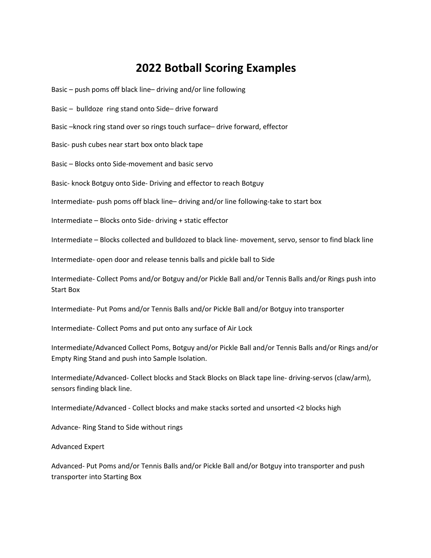## **2022 Botball Scoring Examples**

Basic – push poms off black line– driving and/or line following

Basic – bulldoze ring stand onto Side– drive forward

Basic –knock ring stand over so rings touch surface– drive forward, effector

Basic- push cubes near start box onto black tape

Basic – Blocks onto Side-movement and basic servo

Basic- knock Botguy onto Side- Driving and effector to reach Botguy

Intermediate- push poms off black line– driving and/or line following-take to start box

Intermediate – Blocks onto Side- driving + static effector

Intermediate – Blocks collected and bulldozed to black line- movement, servo, sensor to find black line

Intermediate- open door and release tennis balls and pickle ball to Side

Intermediate- Collect Poms and/or Botguy and/or Pickle Ball and/or Tennis Balls and/or Rings push into Start Box

Intermediate- Put Poms and/or Tennis Balls and/or Pickle Ball and/or Botguy into transporter

Intermediate- Collect Poms and put onto any surface of Air Lock

Intermediate/Advanced Collect Poms, Botguy and/or Pickle Ball and/or Tennis Balls and/or Rings and/or Empty Ring Stand and push into Sample Isolation.

Intermediate/Advanced- Collect blocks and Stack Blocks on Black tape line- driving-servos (claw/arm), sensors finding black line.

Intermediate/Advanced - Collect blocks and make stacks sorted and unsorted <2 blocks high

Advance- Ring Stand to Side without rings

Advanced Expert

Advanced- Put Poms and/or Tennis Balls and/or Pickle Ball and/or Botguy into transporter and push transporter into Starting Box